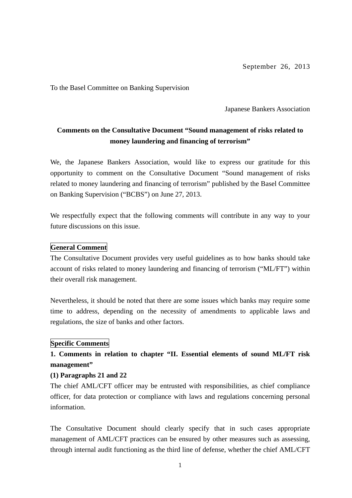To the Basel Committee on Banking Supervision

Japanese Bankers Association

# **Comments on the Consultative Document "Sound management of risks related to money laundering and financing of terrorism"**

We, the Japanese Bankers Association, would like to express our gratitude for this opportunity to comment on the Consultative Document "Sound management of risks related to money laundering and financing of terrorism" published by the Basel Committee on Banking Supervision ("BCBS") on June 27, 2013.

We respectfully expect that the following comments will contribute in any way to your future discussions on this issue.

#### **General Comment**

The Consultative Document provides very useful guidelines as to how banks should take account of risks related to money laundering and financing of terrorism ("ML/FT") within their overall risk management.

Nevertheless, it should be noted that there are some issues which banks may require some time to address, depending on the necessity of amendments to applicable laws and regulations, the size of banks and other factors.

#### **Specific Comments**

# **1. Comments in relation to chapter "II. Essential elements of sound ML/FT risk management"**

#### **(1) Paragraphs 21 and 22**

The chief AML/CFT officer may be entrusted with responsibilities, as chief compliance officer, for data protection or compliance with laws and regulations concerning personal information.

The Consultative Document should clearly specify that in such cases appropriate management of AML/CFT practices can be ensured by other measures such as assessing, through internal audit functioning as the third line of defense, whether the chief AML/CFT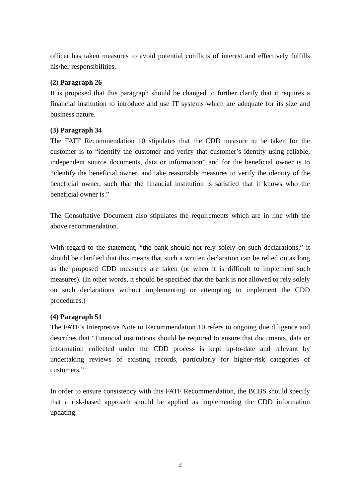officer has taken measures to avoid potential conflicts of interest and effectively fulfills his/her responsibilities.

## **(2) Paragraph 26**

It is proposed that this paragraph should be changed to further clarify that it requires a financial institution to introduce and use IT systems which are adequate for its size and business nature.

## **(3) Paragraph 34**

The FATF Recommendation 10 stipulates that the CDD measure to be taken for the customer is to "identify the customer and verify that customer's identity using reliable, independent source documents, data or information" and for the beneficial owner is to "identify the beneficial owner, and take reasonable measures to verify the identity of the beneficial owner, such that the financial institution is satisfied that it knows who the beneficial owner is."

The Consultative Document also stipulates the requirements which are in line with the above recommendation.

With regard to the statement, "the bank should not rely solely on such declarations," it should be clarified that this means that such a written declaration can be relied on as long as the proposed CDD measures are taken (or when it is difficult to implement such measures). (In other words, it should be specified that the bank is not allowed to rely solely on such declarations without implementing or attempting to implement the CDD procedures.)

## **(4) Paragraph 51**

The FATF's Interpretive Note to Recommendation 10 refers to ongoing due diligence and describes that "Financial institutions should be required to ensure that documents, data or information collected under the CDD process is kept up-to-date and relevant by undertaking reviews of existing records, particularly for higher-risk categories of customers."

In order to ensure consistency with this FATF Recommendation, the BCBS should specify that a risk-based approach should be applied as implementing the CDD information updating.